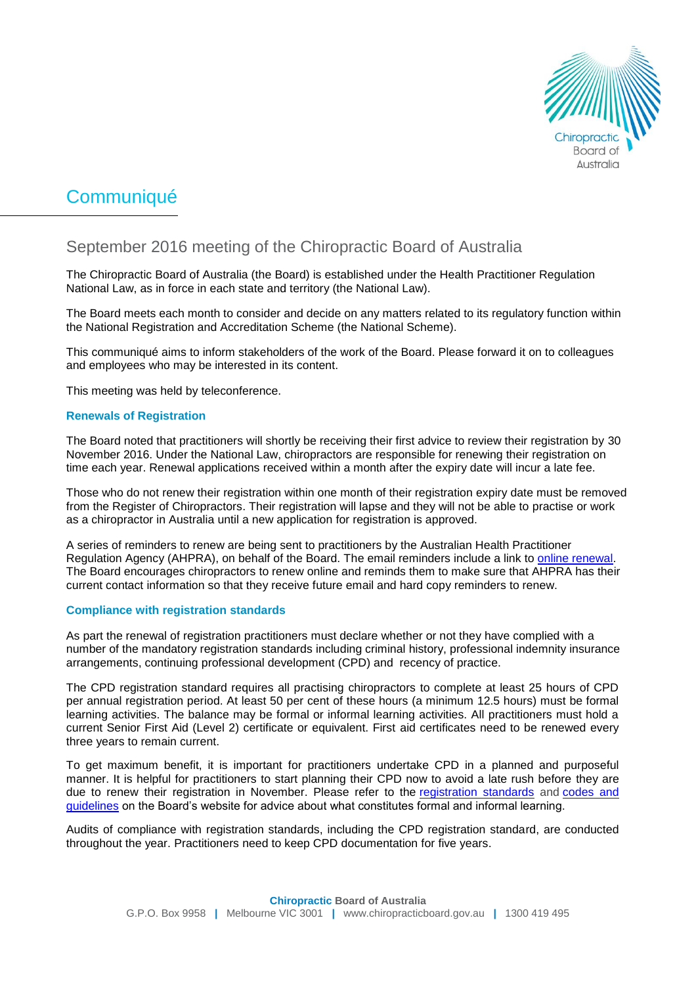

# **Communiqué**

# September 2016 meeting of the Chiropractic Board of Australia

The Chiropractic Board of Australia (the Board) is established under the Health Practitioner Regulation National Law, as in force in each state and territory (the National Law).

The Board meets each month to consider and decide on any matters related to its regulatory function within the National Registration and Accreditation Scheme (the National Scheme).

This communiqué aims to inform stakeholders of the work of the Board. Please forward it on to colleagues and employees who may be interested in its content.

This meeting was held by teleconference.

# **Renewals of Registration**

The Board noted that practitioners will shortly be receiving their first advice to review their registration by 30 November 2016. Under the National Law, chiropractors are responsible for renewing their registration on time each year. Renewal applications received within a month after the expiry date will incur a late fee.

Those who do not renew their registration within one month of their registration expiry date must be removed from the Register of Chiropractors. Their registration will lapse and they will not be able to practise or work as a chiropractor in Australia until a new application for registration is approved.

A series of reminders to renew are being sent to practitioners by the Australian Health Practitioner Regulation Agency (AHPRA), on behalf of the Board. The email reminders include a link to [online renewal.](https://www.ahpra.gov.au/Login.aspx) The Board encourages chiropractors to renew online and reminds them to make sure that AHPRA has their current contact information so that they receive future email and hard copy reminders to renew.

# **Compliance with registration standards**

As part the renewal of registration practitioners must declare whether or not they have complied with a number of the mandatory registration standards including criminal history, professional indemnity insurance arrangements, continuing professional development (CPD) and recency of practice.

The CPD registration standard requires all practising chiropractors to complete at least 25 hours of CPD per annual registration period. At least 50 per cent of these hours (a minimum 12.5 hours) must be formal learning activities. The balance may be formal or informal learning activities. All practitioners must hold a current Senior First Aid (Level 2) certificate or equivalent. First aid certificates need to be renewed every three years to remain current.

To get maximum benefit, it is important for practitioners undertake CPD in a planned and purposeful manner. It is helpful for practitioners to start planning their CPD now to avoid a late rush before they are due to renew their registration in November. Please refer to the [registration standards](http://www.chiropracticboard.gov.au/Registration-standards.aspx) and [codes and](http://www.chiropracticboard.gov.au/Codes-guidelines.aspx)  [guidelines](http://www.chiropracticboard.gov.au/Codes-guidelines.aspx) on the Board's website for advice about what constitutes formal and informal learning.

Audits of compliance with registration standards, including the CPD registration standard, are conducted throughout the year. Practitioners need to keep CPD documentation for five years.